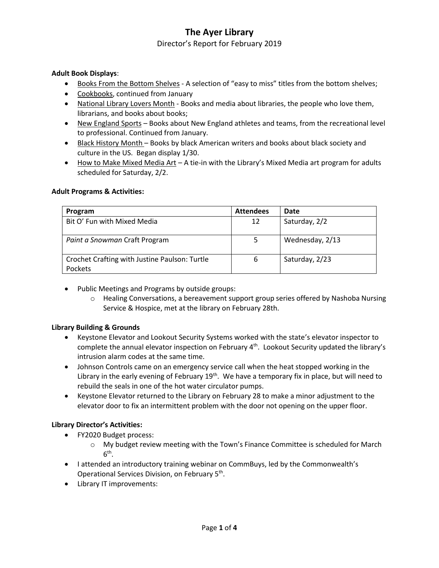Director's Report for February 2019

### **Adult Book Displays**:

- Books From the Bottom Shelves A selection of "easy to miss" titles from the bottom shelves;
- Cookbooks, continued from January
- National Library Lovers Month Books and media about libraries, the people who love them, librarians, and books about books;
- New England Sports Books about New England athletes and teams, from the recreational level to professional. Continued from January.
- Black History Month Books by black American writers and books about black society and culture in the US. Began display 1/30.
- How to Make Mixed Media Art A tie-in with the Library's Mixed Media art program for adults scheduled for Saturday, 2/2.

#### **Adult Programs & Activities:**

| Program                                       | <b>Attendees</b> | Date            |
|-----------------------------------------------|------------------|-----------------|
| Bit O' Fun with Mixed Media                   | 12               | Saturday, 2/2   |
|                                               |                  |                 |
| Paint a Snowman Craft Program                 |                  | Wednesday, 2/13 |
|                                               |                  |                 |
| Crochet Crafting with Justine Paulson: Turtle | 6                | Saturday, 2/23  |
| Pockets                                       |                  |                 |

- Public Meetings and Programs by outside groups:
	- $\circ$  Healing Conversations, a bereavement support group series offered by Nashoba Nursing Service & Hospice, met at the library on February 28th.

#### **Library Building & Grounds**

- Keystone Elevator and Lookout Security Systems worked with the state's elevator inspector to complete the annual elevator inspection on February 4<sup>th</sup>. Lookout Security updated the library's intrusion alarm codes at the same time.
- Johnson Controls came on an emergency service call when the heat stopped working in the Library in the early evening of February 19<sup>th</sup>. We have a temporary fix in place, but will need to rebuild the seals in one of the hot water circulator pumps.
- Keystone Elevator returned to the Library on February 28 to make a minor adjustment to the elevator door to fix an intermittent problem with the door not opening on the upper floor.

#### **Library Director's Activities:**

- FY2020 Budget process:
	- o My budget review meeting with the Town's Finance Committee is scheduled for March  $6^{\text{th}}$ .
- I attended an introductory training webinar on CommBuys, led by the Commonwealth's Operational Services Division, on February 5<sup>th</sup>.
- Library IT improvements: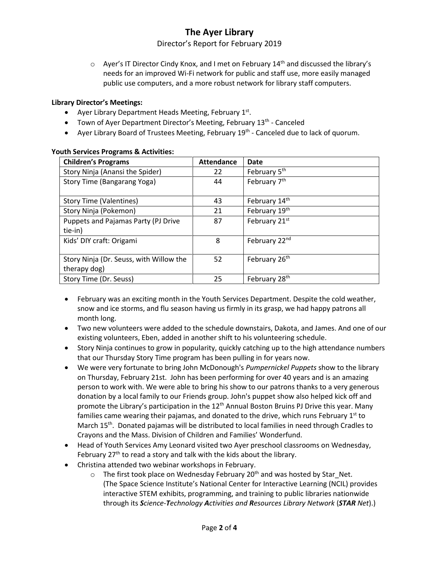Director's Report for February 2019

 $\circ$  Ayer's IT Director Cindy Knox, and I met on February 14<sup>th</sup> and discussed the library's needs for an improved Wi-Fi network for public and staff use, more easily managed public use computers, and a more robust network for library staff computers.

### **Library Director's Meetings:**

- Ayer Library Department Heads Meeting, February  $1^{st}$ .
- Town of Ayer Department Director's Meeting, February 13<sup>th</sup> Canceled
- Ayer Library Board of Trustees Meeting, February 19<sup>th</sup> Canceled due to lack of quorum.

| <b>Children's Programs</b>                              | <b>Attendance</b> | Date                      |
|---------------------------------------------------------|-------------------|---------------------------|
| Story Ninja (Anansi the Spider)                         | 22                | February 5 <sup>th</sup>  |
| Story Time (Bangarang Yoga)                             | 44                | February 7 <sup>th</sup>  |
| <b>Story Time (Valentines)</b>                          | 43                | February 14th             |
| Story Ninja (Pokemon)                                   | 21                | February 19th             |
| Puppets and Pajamas Party (PJ Drive                     | 87                | February 21st             |
| tie-in)                                                 |                   |                           |
| Kids' DIY craft: Origami                                | 8                 | February 22nd             |
| Story Ninja (Dr. Seuss, with Willow the<br>therapy dog) | 52                | February 26 <sup>th</sup> |
| Story Time (Dr. Seuss)                                  | 25                | February 28 <sup>th</sup> |

#### **Youth Services Programs & Activities:**

- February was an exciting month in the Youth Services Department. Despite the cold weather, snow and ice storms, and flu season having us firmly in its grasp, we had happy patrons all month long.
- Two new volunteers were added to the schedule downstairs, Dakota, and James. And one of our existing volunteers, Eben, added in another shift to his volunteering schedule.
- Story Ninja continues to grow in popularity, quickly catching up to the high attendance numbers that our Thursday Story Time program has been pulling in for years now.
- We were very fortunate to bring John McDonough's *Pumpernickel Puppets* show to the library on Thursday, February 21st. John has been performing for over 40 years and is an amazing person to work with. We were able to bring his show to our patrons thanks to a very generous donation by a local family to our Friends group. John's puppet show also helped kick off and promote the Library's participation in the 12<sup>th</sup> Annual Boston Bruins PJ Drive this year. Many families came wearing their pajamas, and donated to the drive, which runs February  $1<sup>st</sup>$  to March 15<sup>th</sup>. Donated pajamas will be distributed to local families in need through Cradles to Crayons and the Mass. Division of Children and Families' Wonderfund.
- Head of Youth Services Amy Leonard visited two Ayer preschool classrooms on Wednesday, February  $27<sup>th</sup>$  to read a story and talk with the kids about the library.
- Christina attended two webinar workshops in February.
	- $\circ$  The first took place on Wednesday February 20<sup>th</sup> and was hosted by Star Net. (The Space Science Institute's National Center for Interactive Learning (NCIL) provides interactive STEM exhibits, programming, and training to public libraries nationwide through its *Science‐Technology Activities and Resources Library Network* (*STAR Net*).)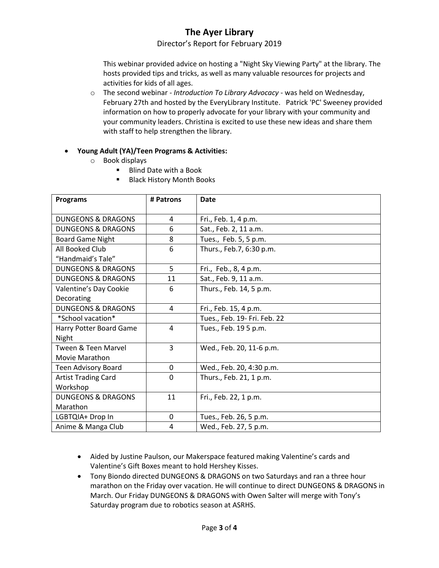### Director's Report for February 2019

This webinar provided advice on hosting a "Night Sky Viewing Party" at the library. The hosts provided tips and tricks, as well as many valuable resources for projects and activities for kids of all ages.

o The second webinar - *Introduction To Library Advocacy* - was held on Wednesday, February 27th and hosted by the EveryLibrary Institute. Patrick 'PC' Sweeney provided information on how to properly advocate for your library with your community and your community leaders. Christina is excited to use these new ideas and share them with staff to help strengthen the library.

### **Young Adult (YA)/Teen Programs & Activities:**

- o Book displays
	- Blind Date with a Book
	- Black History Month Books

| <b>Programs</b>                | # Patrons    | <b>Date</b>                  |
|--------------------------------|--------------|------------------------------|
| DUNGEONS & DRAGONS             | 4            | Fri., Feb. 1, 4 p.m.         |
| DUNGEONS & DRAGONS             | 6            | Sat., Feb. 2, 11 a.m.        |
| <b>Board Game Night</b>        | 8            | Tues., Feb. 5, 5 p.m.        |
| All Booked Club                | 6            | Thurs., Feb.7, 6:30 p.m.     |
| "Handmaid's Tale"              |              |                              |
| <b>DUNGEONS &amp; DRAGONS</b>  | 5            | Fri., Feb., 8, 4 p.m.        |
| <b>DUNGEONS &amp; DRAGONS</b>  | 11           | Sat., Feb. 9, 11 a.m.        |
| Valentine's Day Cookie         | 6            | Thurs., Feb. 14, 5 p.m.      |
| Decorating                     |              |                              |
| <b>DUNGEONS &amp; DRAGONS</b>  | 4            | Fri., Feb. 15, 4 p.m.        |
| *School vacation*              |              | Tues., Feb. 19- Fri. Feb. 22 |
| Harry Potter Board Game        | 4            | Tues., Feb. 19 5 p.m.        |
| Night                          |              |                              |
| <b>Tween &amp; Teen Marvel</b> | 3            | Wed., Feb. 20, 11-6 p.m.     |
| Movie Marathon                 |              |                              |
| Teen Advisory Board            | 0            | Wed., Feb. 20, 4:30 p.m.     |
| <b>Artist Trading Card</b>     | 0            | Thurs., Feb. 21, 1 p.m.      |
| Workshop                       |              |                              |
| <b>DUNGEONS &amp; DRAGONS</b>  | 11           | Fri., Feb. 22, 1 p.m.        |
| Marathon                       |              |                              |
| LGBTQIA+ Drop In               | $\mathbf{0}$ | Tues., Feb. 26, 5 p.m.       |
| Anime & Manga Club             | 4            | Wed., Feb. 27, 5 p.m.        |

- Aided by Justine Paulson, our Makerspace featured making Valentine's cards and Valentine's Gift Boxes meant to hold Hershey Kisses.
- Tony Biondo directed DUNGEONS & DRAGONS on two Saturdays and ran a three hour marathon on the Friday over vacation. He will continue to direct DUNGEONS & DRAGONS in March. Our Friday DUNGEONS & DRAGONS with Owen Salter will merge with Tony's Saturday program due to robotics season at ASRHS.